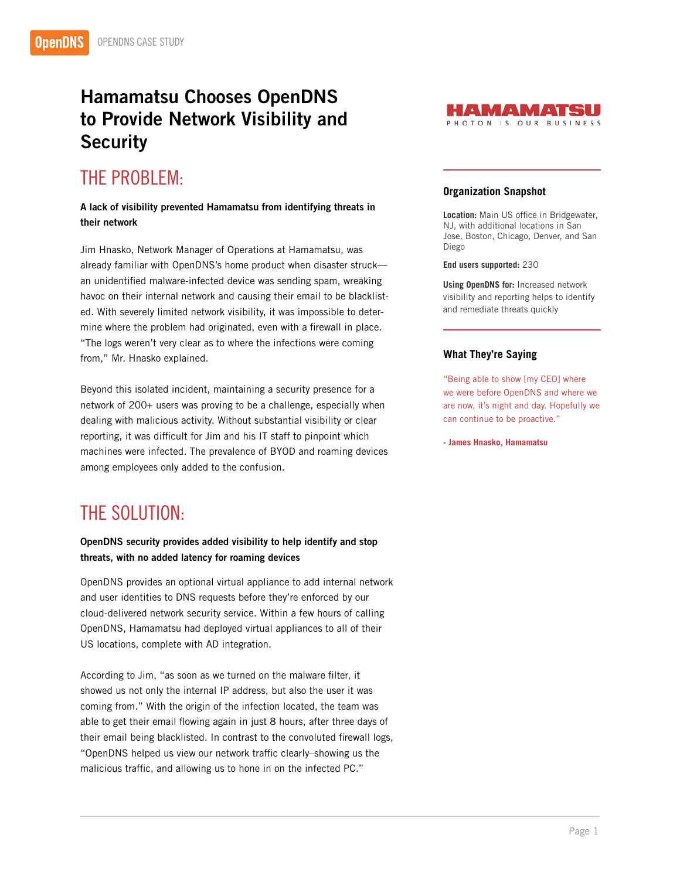## Hamamatsu Chooses OpenDNS to Provide Network Visibility and **Security**

# THE PROBLEM:

### A lack of visibility prevented Hamamatsu from identifying threats in their network

Jim Hnasko, Network Manager of Operations at Hamamatsu, was already familiar with OpenDNS's home product when disaster struck an unidentified malware-infected device was sending spam, wreaking havoc on their internal network and causing their email to be blacklisted. With severely limited network visibility, it was impossible to determine where the problem had originated, even with a firewall in place. "The logs weren't very clear as to where the infections were coming from," Mr. Hnasko explained.

Beyond this isolated incident, maintaining a security presence for a network of 200+ users was proving to be a challenge, especially when dealing with malicious activity. Without substantial visibility or clear reporting, it was difficult for Jim and his IT staff to pinpoint which machines were infected. The prevalence of BYOD and roaming devices among employees only added to the confusion.

### THE SOLUTION:

#### OpenDNS security provides added visibility to help identify and stop threats, with no added latency for roaming devices

OpenDNS provides an optional virtual appliance to add internal network and user identities to DNS requests before they're enforced by our cloud-delivered network security service. Within a few hours of calling OpenDNS, Hamamatsu had deployed virtual appliances to all of their US locations, complete with AD integration.

According to Jim, "as soon as we turned on the malware filter, it showed us not only the internal IP address, but also the user it was coming from." With the origin of the infection located, the team was able to get their email flowing again in just 8 hours, after three days of their email being blacklisted. In contrast to the convoluted firewall logs, "OpenDNS helped us view our network traffic clearly–showing us the malicious traffic, and allowing us to hone in on the infected PC."



#### **Organization Snapshot**

**Location:** Main US office in Bridgewater, NJ, with additional locations in San Jose, Boston, Chicago, Denver, and San Diego

**End users supported:** 230

**Using OpenDNS for:** Increased network visibility and reporting helps to identify and remediate threats quickly

#### **What They're Saying**

"Being able to show [my CEO] where we were before OpenDNS and where we are now, it's night and day. Hopefully we can continue to be proactive."

**- James Hnasko, Hamamatsu**